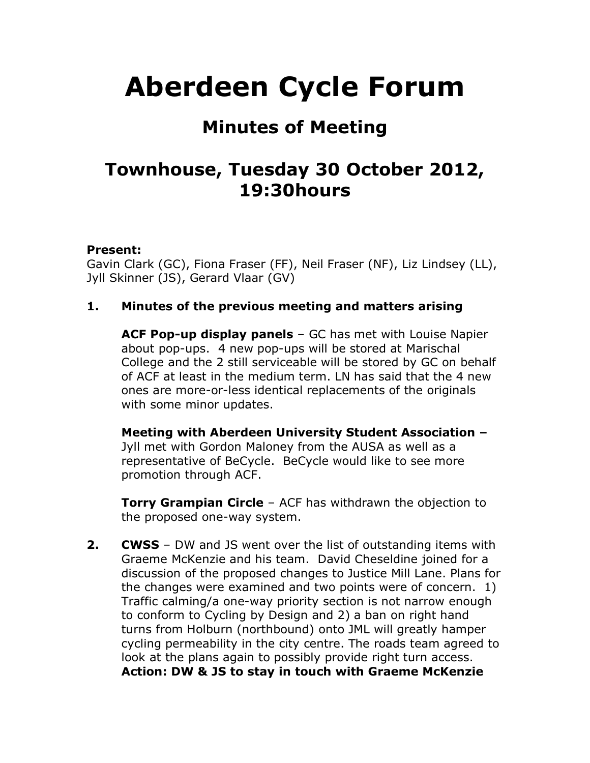# **Aberdeen Cycle Forum**

## **Minutes of Meeting**

## **Townhouse, Tuesday 30 October 2012, 19:30hours**

#### **Present:**

Gavin Clark (GC), Fiona Fraser (FF), Neil Fraser (NF), Liz Lindsey (LL), Jyll Skinner (JS), Gerard Vlaar (GV)

#### **1. Minutes of the previous meeting and matters arising**

**ACF Pop-up display panels** – GC has met with Louise Napier about pop-ups. 4 new pop-ups will be stored at Marischal College and the 2 still serviceable will be stored by GC on behalf of ACF at least in the medium term. LN has said that the 4 new ones are more-or-less identical replacements of the originals with some minor updates.

**Meeting with Aberdeen University Student Association –** Jyll met with Gordon Maloney from the AUSA as well as a representative of BeCycle. BeCycle would like to see more promotion through ACF.

**Torry Grampian Circle** – ACF has withdrawn the objection to the proposed one-way system.

**2. CWSS** – DW and JS went over the list of outstanding items with Graeme McKenzie and his team. David Cheseldine joined for a discussion of the proposed changes to Justice Mill Lane. Plans for the changes were examined and two points were of concern. 1) Traffic calming/a one-way priority section is not narrow enough to conform to Cycling by Design and 2) a ban on right hand turns from Holburn (northbound) onto JML will greatly hamper cycling permeability in the city centre. The roads team agreed to look at the plans again to possibly provide right turn access. **Action: DW & JS to stay in touch with Graeme McKenzie**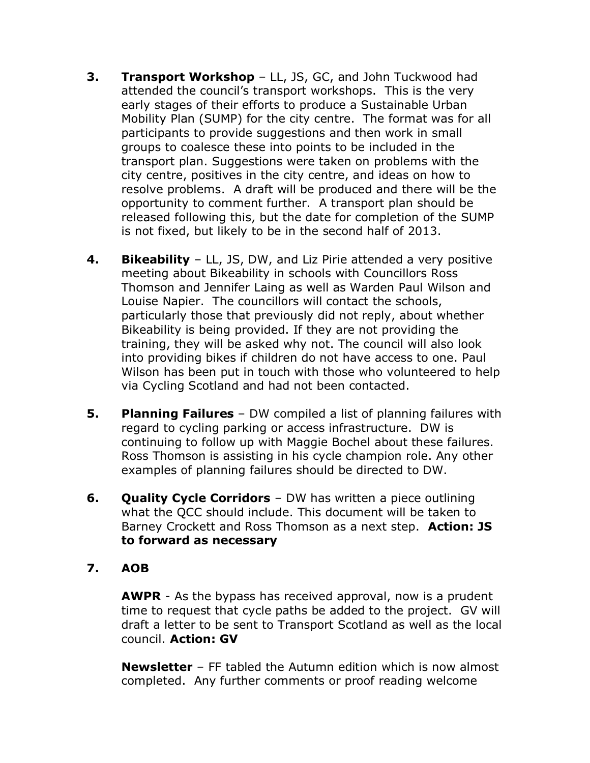- **3. Transport Workshop** LL, JS, GC, and John Tuckwood had attended the council's transport workshops. This is the very early stages of their efforts to produce a Sustainable Urban Mobility Plan (SUMP) for the city centre. The format was for all participants to provide suggestions and then work in small groups to coalesce these into points to be included in the transport plan. Suggestions were taken on problems with the city centre, positives in the city centre, and ideas on how to resolve problems. A draft will be produced and there will be the opportunity to comment further. A transport plan should be released following this, but the date for completion of the SUMP is not fixed, but likely to be in the second half of 2013.
- **4. Bikeability** LL, JS, DW, and Liz Pirie attended a very positive meeting about Bikeability in schools with Councillors Ross Thomson and Jennifer Laing as well as Warden Paul Wilson and Louise Napier. The councillors will contact the schools, particularly those that previously did not reply, about whether Bikeability is being provided. If they are not providing the training, they will be asked why not. The council will also look into providing bikes if children do not have access to one. Paul Wilson has been put in touch with those who volunteered to help via Cycling Scotland and had not been contacted.
- **5. Planning Failures**  DW compiled a list of planning failures with regard to cycling parking or access infrastructure. DW is continuing to follow up with Maggie Bochel about these failures. Ross Thomson is assisting in his cycle champion role. Any other examples of planning failures should be directed to DW.
- **6. Quality Cycle Corridors** DW has written a piece outlining what the QCC should include. This document will be taken to Barney Crockett and Ross Thomson as a next step. **Action: JS to forward as necessary**

#### **7. AOB**

**AWPR** - As the bypass has received approval, now is a prudent time to request that cycle paths be added to the project. GV will draft a letter to be sent to Transport Scotland as well as the local council. **Action: GV**

**Newsletter** – FF tabled the Autumn edition which is now almost completed. Any further comments or proof reading welcome